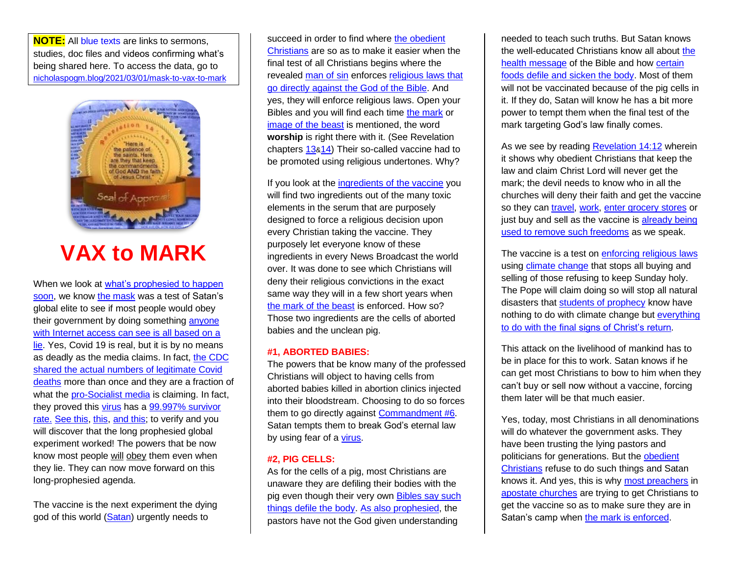**NOTE:** All blue texts are links to sermons, studies, doc files and videos confirming what's being shared here. To access the data, go to [nicholaspogm.blog/2021/03/01/mask-to-vax-to-mark](https://nicholaspogm.blog/2021/03/01/mask-to-vax-to-mark)



## **VAX to MARK**

When we look at [what's prophesied to happen](https://remnantofgod.org/near-the-end.htm)  [soon,](https://remnantofgod.org/near-the-end.htm) we know [the mask](https://remnantofgod.org/images/Mask.jpg) was a test of Satan's global elite to see if most people would obey their government by doing something [anyone](https://remnantofgod.org/pandemic.htm)  [with Internet access can see is all based on a](https://remnantofgod.org/pandemic.htm) [lie.](https://remnantofgod.org/pandemic.htm) Yes, Covid 19 is real, but it is by no means as deadly as the media claims. In fact, [the CDC](https://153news.net/watch_video.php?v=WGK4G95YN939)  [shared the actual numbers of legitimate Covid](https://153news.net/watch_video.php?v=WGK4G95YN939)  [deaths](https://153news.net/watch_video.php?v=WGK4G95YN939) more than once and they are a fraction of what the [pro-Socialist media](https://remnantofgod.org/VaticanSocialist.htm) is claiming. In fact, they proved this [virus](https://www.john1429.org/images/112420TheyLied-VirusesAreNotWhatYouThink.mp4) has [a 99.997% survivor](https://www.breitbart.com/politics/2020/09/25/cdc-data-shows-high-virus-survival-rate-99-plus-for-ages-69-and-younger-94-6-for-older/)  [rate.](https://www.breitbart.com/politics/2020/09/25/cdc-data-shows-high-virus-survival-rate-99-plus-for-ages-69-and-younger-94-6-for-older/) [See this,](https://freerepublic.com/focus/f-news/3930887/posts) [this,](https://www.brighteon.com/21f398f3-d727-4a3f-a892-b1efdbe111ee) [and this;](https://153news.net/watch_video.php?v=WGK4G95YN939) to verify and you will discover that the long prophesied global experiment worked! The powers that be now know most people will obey them even when they lie. They can now move forward on this long-prophesied agenda.

The vaccine is the next experiment the dying god of this world [\(Satan\)](https://remnantofgod.org/vatican.htm) urgently needs to

succeed in order to find where the obedient [Christians](https://remnantofgod.org/example.htm) are so as to make it easier when the final test of all Christians begins where the revealed [man of](https://remnantofgod.org/manofsin.htm) sin enforces [religious laws that](https://remnantofgod.org/religiopolitical.htm)  [go directly against the God of the Bible.](https://remnantofgod.org/religiopolitical.htm) And yes, they will enforce religious laws. Open your Bibles and you will find each time [the mark](https://remnantofgod.org/mark.htm) or [image of the beast](https://remnantofgod.org/image.htm) is mentioned, the word **worship** is right there with it. (See Revelation chapters [13](https://remnantofgod.org/Bible/b/66013.htm)&[14\)](https://remnantofgod.org/Bible/b/66014.htm) Their so-called vaccine had to be promoted using religious undertones. Why?

If you look at the [ingredients of the](https://remnantofgod.org/books/docs/Vaccine-excipient-table-2.pdf) vaccine you will find two ingredients out of the many toxic elements in the serum that are purposely designed to force a religious decision upon every Christian taking the vaccine. They purposely let everyone know of these ingredients in every News Broadcast the world over. It was done to see which Christians will deny their religious convictions in the exact same way they will in a few short years when [the mark of the beast](https://remnantofgod.org/mark.htm) is enforced. How so? Those two ingredients are the cells of aborted babies and the unclean pig.

## **#1, ABORTED BABIES:**

The powers that be know many of the professed Christians will object to having cells from aborted babies killed in abortion clinics injected into their bloodstream. Choosing to do so forces them to go directly against [Commandment #6.](https://remnantofgod.org/Bible/b/02020.htm#13) Satan tempts them to break God's eternal law by using fear of a [virus.](https://www.john1429.org/all-vids/112420TheyLied-VirusesAreNotWhatYouThink.mp4)

## **#2, PIG CELLS:**

As for the cells of a pig, most Christians are unaware they are defiling their bodies with the pig even though their very own [Bibles say such](https://www.youtube.com/watch?v=jZYw3pY40Js)  [things defile the body.](https://www.youtube.com/watch?v=jZYw3pY40Js) [As also prophesied,](https://www.youtube.com/watch?v=8K6pOeWR6io&ab_channel=NicholasPOGM) the pastors have not the God given understanding

needed to teach such truths. But Satan knows the well-educated Christians know all about [the](https://remnantofgod.org/health.htm)  [health message](https://remnantofgod.org/health.htm) of the Bible and how [certain](https://remnantofgod.org/health.htm#OT)  [foods defile and sicken the body.](https://remnantofgod.org/health.htm#OT) Most of them will not be vaccinated because of the pig cells in it. If they do, Satan will know he has a bit more power to tempt them when the final test of the mark targeting God's law finally comes.

As we see by reading [Revelation 14:12](https://www.remnantofgod.org/Bible/b/66014.htm#12) wherein it shows why obedient Christians that keep the law and claim Christ Lord will never get the mark; the devil needs to know who in all the churches will deny their faith and get the vaccine so they can [travel,](https://www.forbes.com/sites/alexledsom/2021/02/24/vaccination-passports-eu-countries-take-sides-over-summer-2021/?sh=3dfe203a45d3) [work,](https://newspunch.com/no-jab-no-job-policies-may-become-legal-to-force-staff-to-get-covid-19-vaccines/) [enter grocery stores](https://www.express.co.uk/life-style/health/1370306/covid-vaccine-latest-no-vaccine-no-entry-rules-immunity-passport-EVG) or just buy and sell as the vaccine is already being [used to remove](https://www.express.co.uk/news/world/1402485/EU-news-vaccine-passport-plan-Brussels-florian-philippot) such freedoms as we speak.

The vaccine is a test on [enforcing](https://remnantofgod.org/religiopolitical.htm) religious laws usin[g climate change](https://remnantofgod.org/climatechange.htm) that stops all buying and selling of those refusing to keep Sunday holy. The Pope will claim doing so will stop all natural disasters that [students of prophecy](https://remnantofgod.org/2studyproph.htm) know have nothing to do with climate change but everything [to do with the final signs of Christ's return.](https://remnantofgod.org/near-the-end.htm)

This attack on the livelihood of mankind has to be in place for this to work. Satan knows if he can get most Christians to bow to him when they can't buy or sell now without a vaccine, forcing them later will be that much easier.

Yes, today, most Christians in all denominations will do whatever the government asks. They have been trusting the lying pastors and politicians for generations. But the [obedient](https://remnantofgod.org/example.htm)  [Christians](https://remnantofgod.org/example.htm) refuse to do such things and Satan knows it. And yes, this is why most [preachers](https://john1429.org/all-vids/122220RCCandSDAchurchOKwithPigsAndAbortedBabiesInVaccine.mp4) in [apostate churches](https://sdaapostasy.org/) are trying to get Christians to get the vaccine so as to make sure they are in Satan's camp when [the mark is enforced.](https://remnantofgod.org/mark.htm)